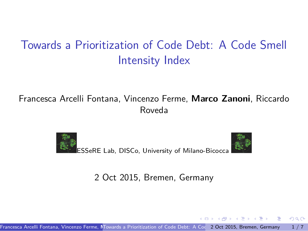# <span id="page-0-0"></span>Towards a Prioritization of Code Debt: A Code Smell Intensity Index

#### Francesca Arcelli Fontana, Vincenzo Ferme, **Marco Zanoni**, Riccardo Roveda





.

. . . .

.

2 Oct 2015, Bremen, Germany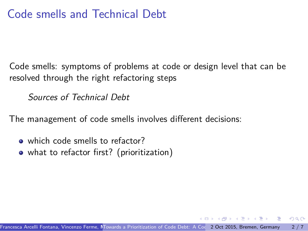### <span id="page-1-0"></span>Code smells and Technical Debt

Code smells: symptoms of problems at code or design level that can be resolved through the right refactoring steps

*Sources of Technical Debt*

The management of code smells involves different decisions:

- which code smells to refactor?
- what to refactor first? (prioritization)

.

.  $\overline{\Omega}$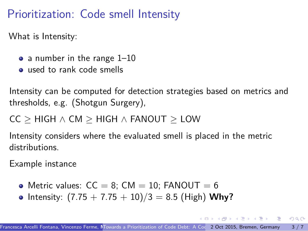## <span id="page-2-0"></span>Prioritization: Code smell Intensity

What is Intensity:

- $\bullet$  a number in the range 1–10
- $\bullet$  used to rank code smells

Intensity can be computed for detection strategies based on metrics and thresholds, e.g. (Shotgun Surgery),

CC *≥* HIGH *∧* CM *≥* HIGH *∧* FANOUT *≥* LOW

Intensity considers where the evaluated smell is placed in the metric distributions.

Example instance

- Metric values:  $CC = 8$ :  $CM = 10$ : FANOUT = 6
- Intensity:  $(7.75 + 7.75 + 10)/3 = 8.5$  (High) Why?

 $\mathcal{A} \stackrel{\text{def}}{\longrightarrow} \mathcal{A} \stackrel{\text{def}}{\longrightarrow} \mathcal{A} \stackrel{\text{def}}{\longrightarrow} \mathcal{A} \stackrel{\text{def}}{\longrightarrow} \mathcal{A} \stackrel{\text{def}}{\longrightarrow} \mathcal{A}$ 

oqq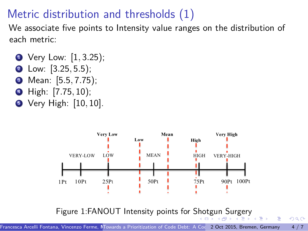## <span id="page-3-0"></span>Metric distribution and thresholds (1)

We associate five points to Intensity value ranges on the distribution of each metric:

- Very Low: [1, 3.25);
- <sup>2</sup> Low: [3*.*25*,* 5*.*5);
- <sup>3</sup> Mean: [5*.*5*,* 7*.*75);
- <sup>4</sup> High: [7*.*75*,* 10);
- <sup>5</sup> Very High: [10*,* 10].



.

. . . .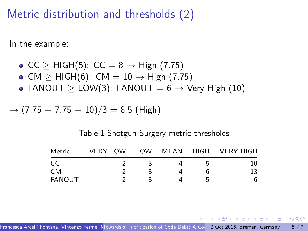#### <span id="page-4-0"></span>Metric distribution and thresholds (2)

In the example:

- $\bullet$  CC  $>$  HIGH(5): CC = 8  $\rightarrow$  High (7.75)
- CM *≥* HIGH(6): CM = 10 *→* High (7.75)
- FANOUT *≥* LOW(3): FANOUT = 6 *→* Very High (10)

$$
\rightarrow (7.75 + 7.75 + 10)/3 = 8.5 \text{ (High)}
$$

Table 1:Shotgun Surgery metric thresholds

| Metric        | <b>VERY-LOW</b> | LOW | MEAN | HIGH | <b>VERY-HIGH</b> |
|---------------|-----------------|-----|------|------|------------------|
| CC            |                 |     |      |      | 10               |
| <b>CM</b>     |                 |     |      |      | 13               |
| <b>FANOUT</b> |                 |     |      |      | 6                |

 $\Theta$  >  $\rightarrow$   $\rightarrow$   $\pm$   $\rightarrow$   $\rightarrow$   $\pm$ 

.  $\overline{\Omega}$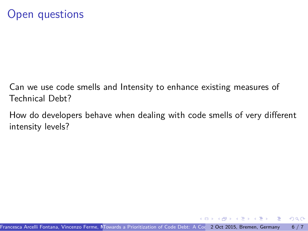- <span id="page-5-0"></span>Can we use code smells and Intensity to enhance existing measures of Technical Debt?
- How do developers behave when dealing with code smells of very different intensity levels?

 $\Theta$  >  $\rightarrow$   $\rightarrow$   $\pm$   $\rightarrow$   $\rightarrow$   $\pm$ 

.  $\overline{\Omega}$